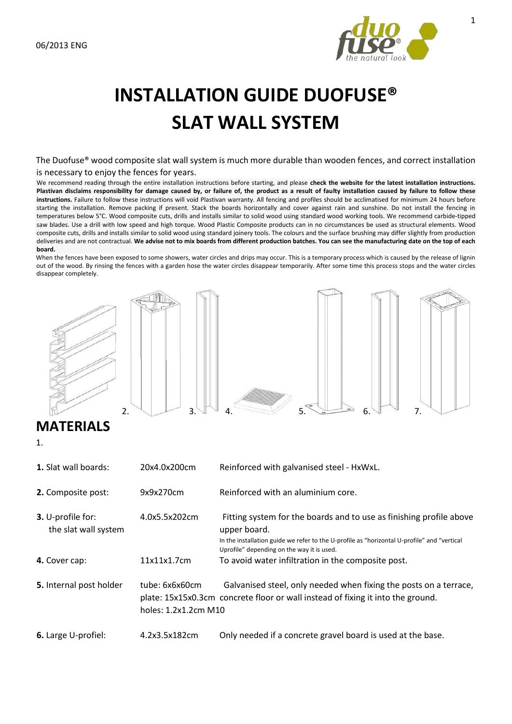

# **INSTALLATION GUIDE DUOFUSE® SLAT WALL SYSTEM**

The Duofuse® wood composite slat wall system is much more durable than wooden fences, and correct installation is necessary to enjoy the fences for years.

We recommend reading through the entire installation instructions before starting, and please **check the website for the latest installation instructions. Plastivan disclaims responsibility for damage caused by, or failure of, the product as a result of faulty installation caused by failure to follow these instructions.** Failure to follow these instructions will void Plastivan warranty. All fencing and profiles should be acclimatised for minimum 24 hours before starting the installation. Remove packing if present. Stack the boards horizontally and cover against rain and sunshine. Do not install the fencing in temperatures below 5°C. Wood composite cuts, drills and installs similar to solid wood using standard wood working tools. We recommend carbide-tipped saw blades. Use a drill with low speed and high torque. Wood Plastic Composite products can in no circumstances be used as structural elements. Wood composite cuts, drills and installs similar to solid wood using standard joinery tools. The colours and the surface brushing may differ slightly from production deliveries and are not contractual. **We advise not to mix boards from different production batches. You can see the manufacturing date on the top of each board.** 

When the fences have been exposed to some showers, water circles and drips may occur. This is a temporary process which is caused by the release of lignin out of the wood. By rinsing the fences with a garden hose the water circles disappear temporarily. After some time this process stops and the water circles disappear completely.



# **MATERIALS**

1.

| <b>1.</b> Slat wall boards:               | 20x4.0x200cm                                                                                                                                                                                   | Reinforced with galvanised steel - HxWxL.                                                                                                                                                                                        |
|-------------------------------------------|------------------------------------------------------------------------------------------------------------------------------------------------------------------------------------------------|----------------------------------------------------------------------------------------------------------------------------------------------------------------------------------------------------------------------------------|
| 2. Composite post:                        | 9x9x270cm                                                                                                                                                                                      | Reinforced with an aluminium core.                                                                                                                                                                                               |
| 3. U-profile for:<br>the slat wall system | 4.0x5.5x202cm                                                                                                                                                                                  | Fitting system for the boards and to use as finishing profile above<br>upper board.<br>In the installation guide we refer to the U-profile as "horizontal U-profile" and "vertical<br>Uprofile" depending on the way it is used. |
| 4. Cover cap:                             | 11x11x1.7cm                                                                                                                                                                                    | To avoid water infiltration in the composite post.                                                                                                                                                                               |
| 5. Internal post holder                   | Galvanised steel, only needed when fixing the posts on a terrace,<br>tube: 6x6x60cm<br>plate: 15x15x0.3cm concrete floor or wall instead of fixing it into the ground.<br>holes: 1.2x1.2cm M10 |                                                                                                                                                                                                                                  |
| 6. Large U-profiel:                       | 4.2x3.5x182cm                                                                                                                                                                                  | Only needed if a concrete gravel board is used at the base.                                                                                                                                                                      |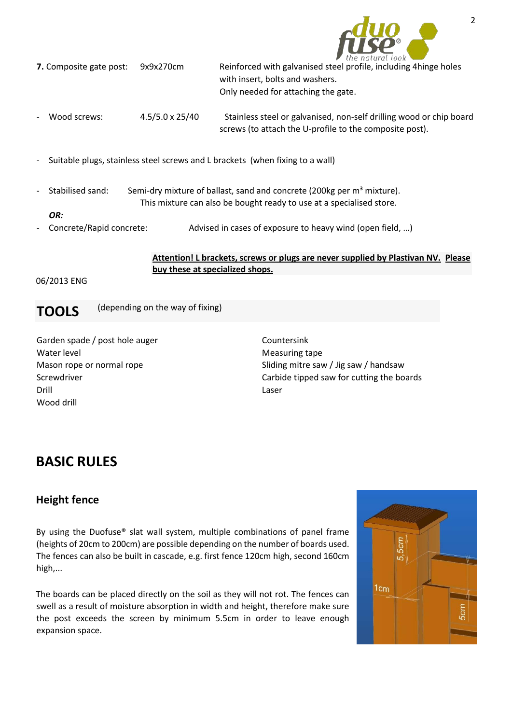

| <b>7.</b> Composite gate post:           | 9x9x270cm              | $\sim$ $\frac{1}{2}$ $\frac{1}{2}$ $\frac{1}{2}$ $\frac{1}{2}$ $\frac{1}{2}$ $\frac{1}{2}$ $\frac{1}{2}$ $\frac{1}{2}$ $\frac{1}{2}$ $\frac{1}{2}$<br>Reinforced with galvanised steel profile, including 4 hinge holes<br>with insert, bolts and washers.<br>Only needed for attaching the gate. |
|------------------------------------------|------------------------|---------------------------------------------------------------------------------------------------------------------------------------------------------------------------------------------------------------------------------------------------------------------------------------------------|
| Wood screws:<br>$\overline{\phantom{a}}$ | $4.5/5.0 \times 25/40$ | Stainless steel or galvanised, non-self drilling wood or chip board<br>screws (to attach the U-profile to the composite post).                                                                                                                                                                    |
| $\sim$                                   |                        | Suitable plugs, stainless steel screws and L brackets (when fixing to a wall)                                                                                                                                                                                                                     |

- 
- Stabilised sand: Semi-dry mixture of ballast, sand and concrete (200kg per m<sup>3</sup> mixture). This mixture can also be bought ready to use at a specialised store.

```
OR:
```
Concrete/Rapid concrete: Advised in cases of exposure to heavy wind (open field, ...)

**Attention! L brackets, screws or plugs are never supplied by Plastivan NV. Please buy these at specialized shops.**

### 06/2013 ENG

**TOOLS** (depending on the way of fixing)

Garden spade / post hole auger Water level Mason rope or normal rope Screwdriver Drill Wood drill

Countersink Measuring tape Sliding mitre saw / Jig saw / handsaw Carbide tipped saw for cutting the boards Laser

# **BASIC RULES**

## **Height fence**

By using the Duofuse® slat wall system, multiple combinations of panel frame (heights of 20cm to 200cm) are possible depending on the number of boards used. The fences can also be built in cascade, e.g. first fence 120cm high, second 160cm high,...

The boards can be placed directly on the soil as they will not rot. The fences can swell as a result of moisture absorption in width and height, therefore make sure the post exceeds the screen by minimum 5.5cm in order to leave enough expansion space.

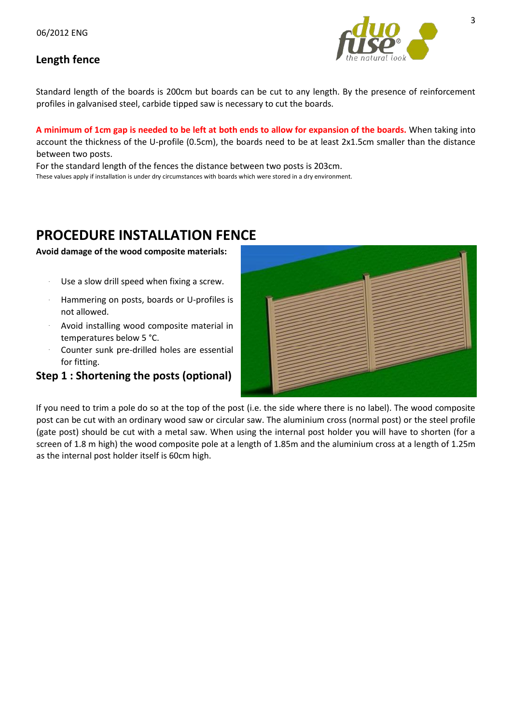### **Length fence**



Standard length of the boards is 200cm but boards can be cut to any length. By the presence of reinforcement profiles in galvanised steel, carbide tipped saw is necessary to cut the boards.

**A minimum of 1cm gap is needed to be left at both ends to allow for expansion of the boards.** When taking into account the thickness of the U-profile (0.5cm), the boards need to be at least 2x1.5cm smaller than the distance between two posts.

For the standard length of the fences the distance between two posts is 203cm. These values apply if installation is under dry circumstances with boards which were stored in a dry environment.

# **PROCEDURE INSTALLATION FENCE**

### **Avoid damage of the wood composite materials:**

- Use a slow drill speed when fixing a screw.
- **-** Hammering on posts, boards or U-profiles is not allowed.
- **-** Avoid installing wood composite material in temperatures below 5 °C.
- **-** Counter sunk pre-drilled holes are essential for fitting.

### **Step 1 : Shortening the posts (optional)**



If you need to trim a pole do so at the top of the post (i.e. the side where there is no label). The wood composite post can be cut with an ordinary wood saw or circular saw. The aluminium cross (normal post) or the steel profile (gate post) should be cut with a metal saw. When using the internal post holder you will have to shorten (for a screen of 1.8 m high) the wood composite pole at a length of 1.85m and the aluminium cross at a length of 1.25m as the internal post holder itself is 60cm high.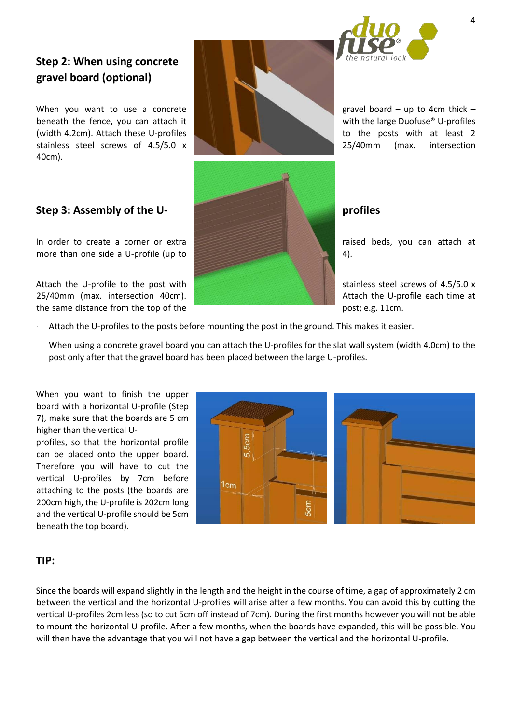

# **Step 2: When using concrete gravel board (optional)**

When you want to use a concrete gravel board – up to 4cm thick – beneath the fence, you can attach it  $\|\cdot\|$  with the large Duofuse<sup>®</sup> U-profiles (width 4.2cm). Attach these U-profiles to the posts with at least 2 stainless steel screws of 4.5/5.0 x 25/40mm (max. intersection 40cm).

In order to create a corner or extra raised beds, you can attach at more than one side a U-profile (up to  $\sim$  4).

Attach the U-profile to the post with  $\sim$  stainless steel screws of 4.5/5.0 x 25/40mm (max. intersection 40cm). Attach the U-profile each time at the same distance from the top of the post is a post; e.g. 11cm.

- Attach the U-profiles to the posts before mounting the post in the ground. This makes it easier.
- When using a concrete gravel board you can attach the U-profiles for the slat wall system (width 4.0cm) to the post only after that the gravel board has been placed between the large U-profiles.

When you want to finish the upper board with a horizontal U-profile (Step 7), make sure that the boards are 5 cm higher than the vertical U-

profiles, so that the horizontal profile can be placed onto the upper board. Therefore you will have to cut the vertical U-profiles by 7cm before attaching to the posts (the boards are 200cm high, the U-profile is 202cm long and the vertical U-profile should be 5cm beneath the top board).



### **TIP:**

Since the boards will expand slightly in the length and the height in the course of time, a gap of approximately 2 cm between the vertical and the horizontal U-profiles will arise after a few months. You can avoid this by cutting the vertical U-profiles 2cm less (so to cut 5cm off instead of 7cm). During the first months however you will not be able to mount the horizontal U-profile. After a few months, when the boards have expanded, this will be possible. You will then have the advantage that you will not have a gap between the vertical and the horizontal U-profile.

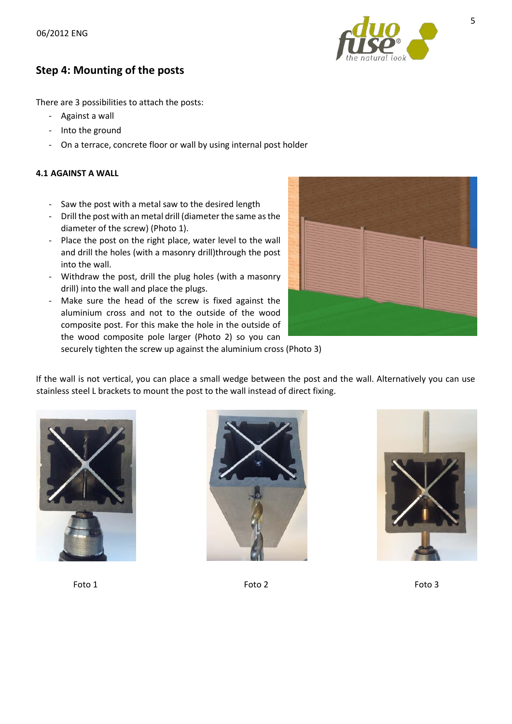

### **Step 4: Mounting of the posts**

There are 3 possibilities to attach the posts:

- Against a wall
- Into the ground
- On a terrace, concrete floor or wall by using internal post holder

### **4.1 AGAINST A WALL**

- Saw the post with a metal saw to the desired length
- Drill the post with an metal drill (diameter the same as the diameter of the screw) (Photo 1).
- Place the post on the right place, water level to the wall and drill the holes (with a masonry drill)through the post into the wall.
- Withdraw the post, drill the plug holes (with a masonry drill) into the wall and place the plugs.
- Make sure the head of the screw is fixed against the aluminium cross and not to the outside of the wood composite post. For this make the hole in the outside of the wood composite pole larger (Photo 2) so you can



securely tighten the screw up against the aluminium cross (Photo 3)

If the wall is not vertical, you can place a small wedge between the post and the wall. Alternatively you can use stainless steel L brackets to mount the post to the wall instead of direct fixing.







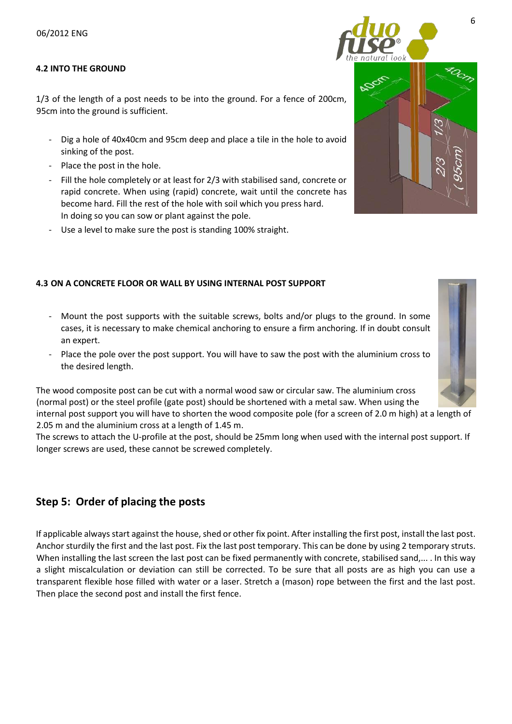### **4.2 INTO THE GROUND**

1/3 of the length of a post needs to be into the ground. For a fence of 200cm, 95cm into the ground is sufficient.

- Dig a hole of 40x40cm and 95cm deep and place a tile in the hole to avoid sinking of the post.
- Place the post in the hole.
- Fill the hole completely or at least for 2/3 with stabilised sand, concrete or rapid concrete. When using (rapid) concrete, wait until the concrete has become hard. Fill the rest of the hole with soil which you press hard. In doing so you can sow or plant against the pole.
- Use a level to make sure the post is standing 100% straight.

### **4.3 ON A CONCRETE FLOOR OR WALL BY USING INTERNAL POST SUPPORT**

- Mount the post supports with the suitable screws, bolts and/or plugs to the ground. In some cases, it is necessary to make chemical anchoring to ensure a firm anchoring. If in doubt consult an expert.
- Place the pole over the post support. You will have to saw the post with the aluminium cross to the desired length.

The wood composite post can be cut with a normal wood saw or circular saw. The aluminium cross (normal post) or the steel profile (gate post) should be shortened with a metal saw. When using the internal post support you will have to shorten the wood composite pole (for a screen of 2.0 m high) at a length of 2.05 m and the aluminium cross at a length of 1.45 m.

The screws to attach the U-profile at the post, should be 25mm long when used with the internal post support. If longer screws are used, these cannot be screwed completely.

### **Step 5: Order of placing the posts**

If applicable always start against the house, shed or other fix point. After installing the first post, install the last post. Anchor sturdily the first and the last post. Fix the last post temporary. This can be done by using 2 temporary struts. When installing the last screen the last post can be fixed permanently with concrete, stabilised sand,... . In this way a slight miscalculation or deviation can still be corrected. To be sure that all posts are as high you can use a transparent flexible hose filled with water or a laser. Stretch a (mason) rope between the first and the last post. Then place the second post and install the first fence.





6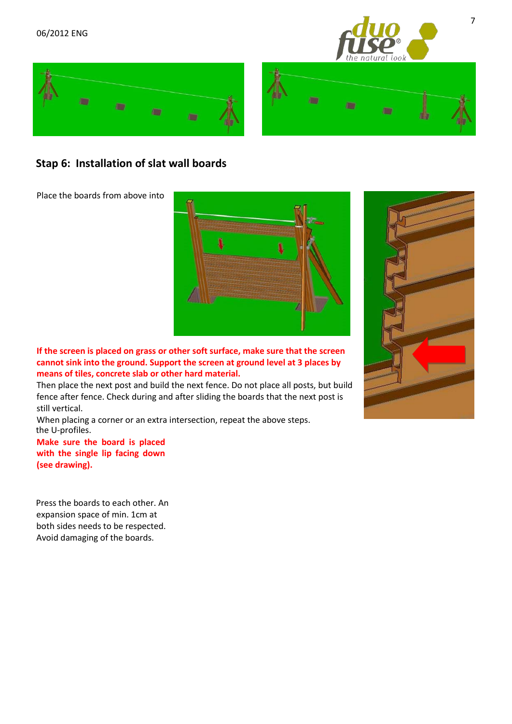

7





### **Stap 6: Installation of slat wall boards**

Place the boards from above into



**If the screen is placed on grass or other soft surface, make sure that the screen cannot sink into the ground. Support the screen at ground level at 3 places by means of tiles, concrete slab or other hard material.** 

Then place the next post and build the next fence. Do not place all posts, but build fence after fence. Check during and after sliding the boards that the next post is still vertical.

the U-profiles. When placing a corner or an extra intersection, repeat the above steps.

**Make sure the board is placed with the single lip facing down (see drawing).** 

Press the boards to each other. An expansion space of min. 1cm at both sides needs to be respected. Avoid damaging of the boards.